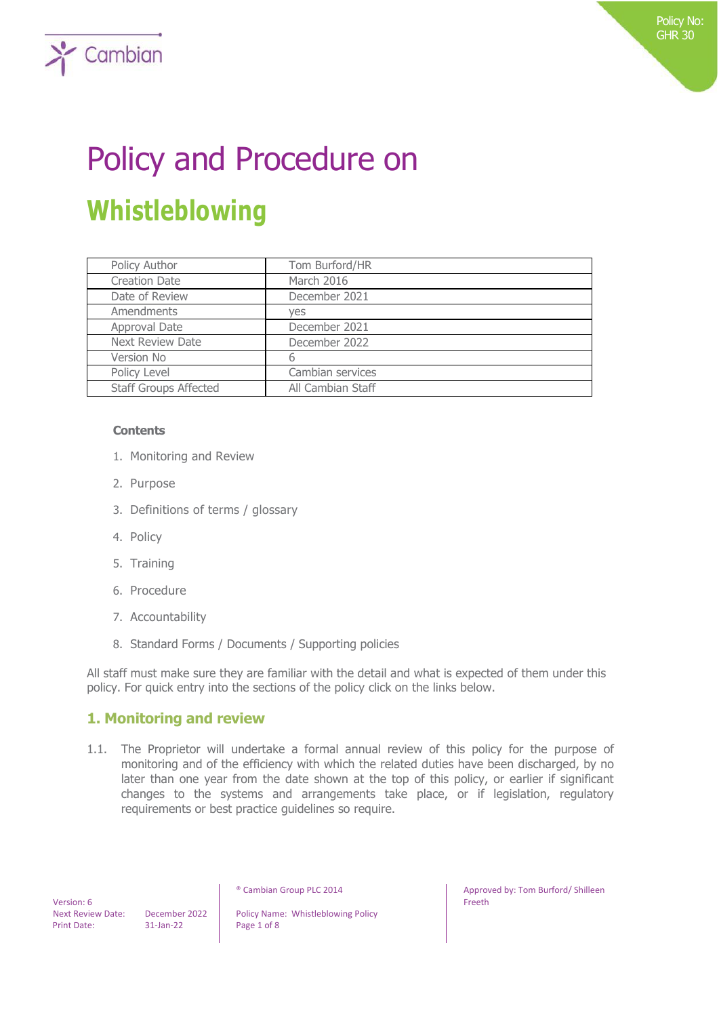# Policy and Procedure on **Whistleblowing**

| Policy Author                | Tom Burford/HR    |
|------------------------------|-------------------|
| <b>Creation Date</b>         | March 2016        |
| Date of Review               | December 2021     |
| Amendments                   | ves               |
| Approval Date                | December 2021     |
| <b>Next Review Date</b>      | December 2022     |
| Version No                   | b                 |
| Policy Level                 | Cambian services  |
| <b>Staff Groups Affected</b> | All Cambian Staff |

### **Contents**

 $\sum$  Cambian

- 1. Monitoring and Review
- 2. Purpose
- 3. Definitions of terms / glossary
- 4. Policy
- 5. Training
- 6. Procedure
- 7. Accountability
- 8. Standard Forms / Documents / Supporting policies

All staff must make sure they are familiar with the detail and what is expected of them under this policy. For quick entry into the sections of the policy click on the links below.

## **1. Monitoring and review**

1.1. The Proprietor will undertake a formal annual review of this policy for the purpose of monitoring and of the efficiency with which the related duties have been discharged, by no later than one year from the date shown at the top of this policy, or earlier if significant changes to the systems and arrangements take place, or if legislation, regulatory requirements or best practice guidelines so require.

 Version: 6 Print Date: 31-Jan-22 Page 1 of 8

Next Review Date: December 2022 | Policy Name: Whistleblowing Policy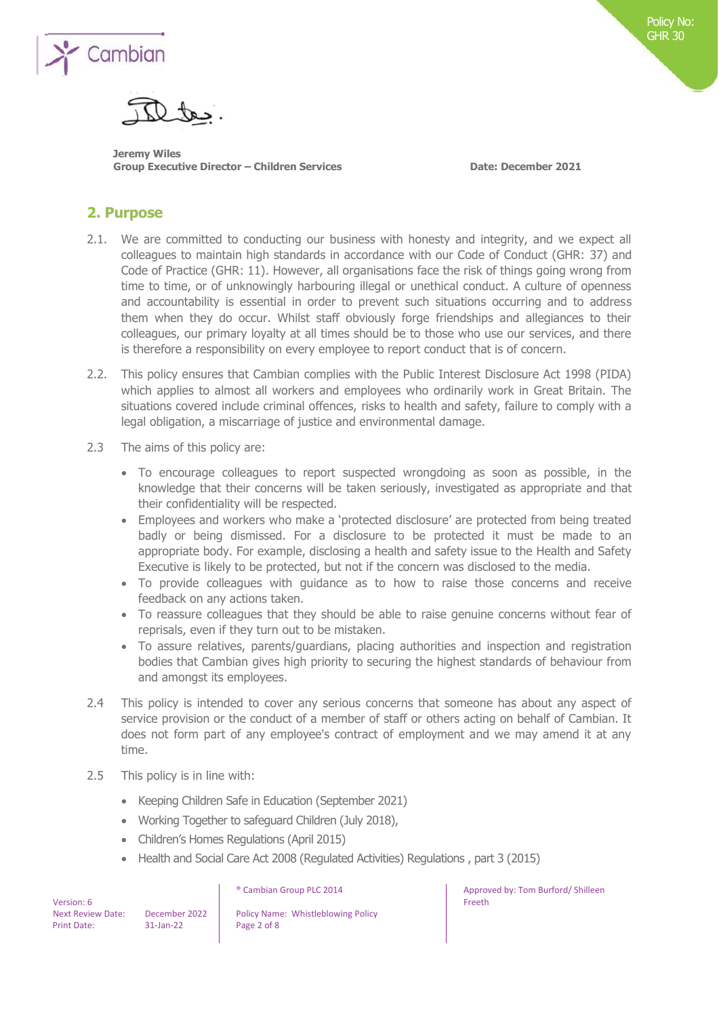

**Jeremy Wiles Group Executive Director – Children Services Date: December 2021**

Policy No: Policy No: GHR 30 GHR 30

## **2. Purpose**

- 2.1. We are committed to conducting our business with honesty and integrity, and we expect all colleagues to maintain high standards in accordance with our Code of Conduct (GHR: 37) and Code of Practice (GHR: 11). However, all organisations face the risk of things going wrong from time to time, or of unknowingly harbouring illegal or unethical conduct. A culture of openness and accountability is essential in order to prevent such situations occurring and to address them when they do occur. Whilst staff obviously forge friendships and allegiances to their colleagues, our primary loyalty at all times should be to those who use our services, and there is therefore a responsibility on every employee to report conduct that is of concern.
- 2.2. This policy ensures that Cambian complies with the Public Interest Disclosure Act 1998 (PIDA) which applies to almost all workers and employees who ordinarily work in Great Britain. The situations covered include criminal offences, risks to health and safety, failure to comply with a legal obligation, a miscarriage of justice and environmental damage.
- 2.3 The aims of this policy are:
	- To encourage colleagues to report suspected wrongdoing as soon as possible, in the knowledge that their concerns will be taken seriously, investigated as appropriate and that their confidentiality will be respected.
	- Employees and workers who make a 'protected disclosure' are protected from being treated badly or being dismissed. For a disclosure to be protected it must be made to an appropriate body. For example, disclosing a health and safety issue to the Health and Safety Executive is likely to be protected, but not if the concern was disclosed to the media.
	- To provide colleagues with guidance as to how to raise those concerns and receive feedback on any actions taken.
	- To reassure colleagues that they should be able to raise genuine concerns without fear of reprisals, even if they turn out to be mistaken.
	- To assure relatives, parents/guardians, placing authorities and inspection and registration bodies that Cambian gives high priority to securing the highest standards of behaviour from and amongst its employees.
- 2.4 This policy is intended to cover any serious concerns that someone has about any aspect of service provision or the conduct of a member of staff or others acting on behalf of Cambian. It does not form part of any employee's contract of employment and we may amend it at any time.
- 2.5 This policy is in line with:
	- Keeping Children Safe in Education (September 2021)
	- Working Together to safeguard Children (July 2018),
	- Children's Homes Regulations (April 2015)
	- Health and Social Care Act 2008 (Regulated Activities) Regulations , part 3 (2015)

 Version: 6 Print Date: 31-Jan-22 Page 2 of 8

Next Review Date: December 2022 | Policy Name: Whistleblowing Policy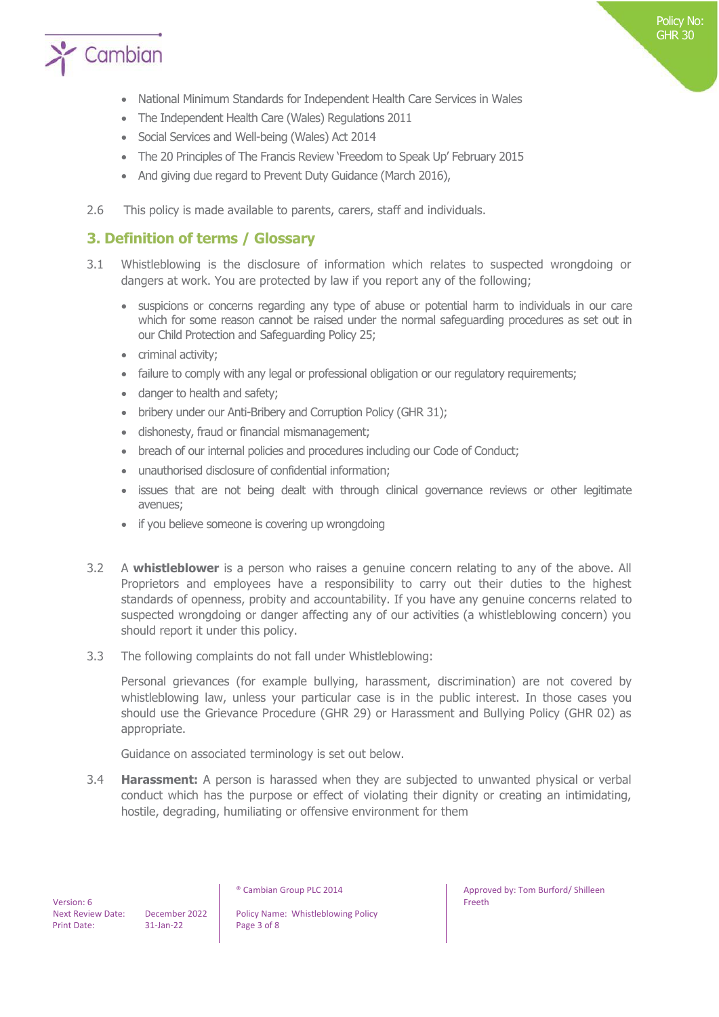

- National Minimum Standards for Independent Health Care Services in Wales
- The Independent Health Care (Wales) Regulations 2011
- Social Services and Well-being (Wales) Act 2014
- The 20 Principles of The Francis Review 'Freedom to Speak Up' February 2015
- And giving due regard to Prevent Duty Guidance (March 2016),
- 2.6 This policy is made available to parents, carers, staff and individuals.

## **3. Definition of terms / Glossary**

- 3.1 Whistleblowing is the disclosure of information which relates to suspected wrongdoing or dangers at work. You are protected by law if you report any of the following;
	- suspicions or concerns regarding any type of abuse or potential harm to individuals in our care which for some reason cannot be raised under the normal safeguarding procedures as set out in our Child Protection and Safeguarding Policy 25;
	- criminal activity;
	- failure to comply with any legal or professional obligation or our regulatory requirements;
	- danger to health and safety;
	- bribery under our Anti-Bribery and Corruption Policy (GHR 31);
	- dishonesty, fraud or financial mismanagement;
	- breach of our internal policies and procedures including our Code of Conduct;
	- unauthorised disclosure of confidential information;
	- issues that are not being dealt with through clinical governance reviews or other legitimate avenues;
	- if you believe someone is covering up wrongdoing
- 3.2 A **whistleblower** is a person who raises a genuine concern relating to any of the above. All Proprietors and employees have a responsibility to carry out their duties to the highest standards of openness, probity and accountability. If you have any genuine concerns related to suspected wrongdoing or danger affecting any of our activities (a whistleblowing concern) you should report it under this policy.
- 3.3 The following complaints do not fall under Whistleblowing:

Personal grievances (for example bullying, harassment, discrimination) are not covered by whistleblowing law, unless your particular case is in the public interest. In those cases you should use the Grievance Procedure (GHR 29) or Harassment and Bullying Policy (GHR 02) as appropriate.

Guidance on associated terminology is set out below.

3.4 **Harassment:** A person is harassed when they are subjected to unwanted physical or verbal conduct which has the purpose or effect of violating their dignity or creating an intimidating, hostile, degrading, humiliating or offensive environment for them

Next Review Date: December 2022 | Policy Name: Whistleblowing Policy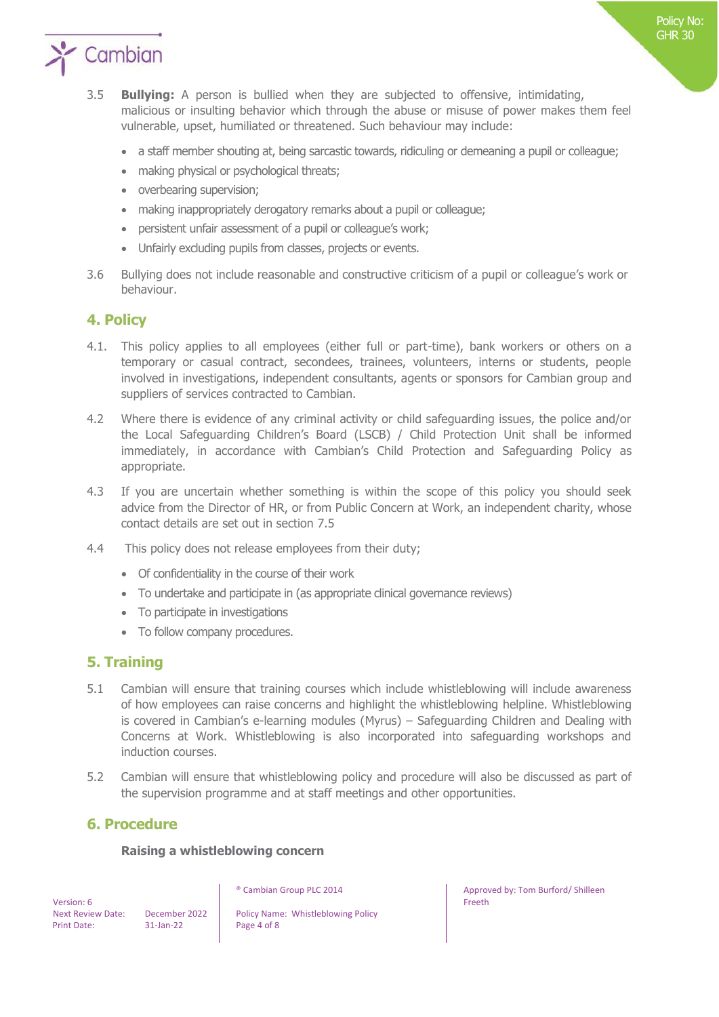

- 3.5 **Bullying:** A person is bullied when they are subjected to offensive, intimidating, malicious or insulting behavior which through the abuse or misuse of power makes them feel vulnerable, upset, humiliated or threatened. Such behaviour may include:
	- a staff member shouting at, being sarcastic towards, ridiculing or demeaning a pupil or colleague;
	- making physical or psychological threats;
	- overbearing supervision;
	- making inappropriately derogatory remarks about a pupil or colleague;
	- persistent unfair assessment of a pupil or colleague's work;
	- Unfairly excluding pupils from classes, projects or events.
- 3.6 Bullying does not include reasonable and constructive criticism of a pupil or colleague's work or behaviour.

## **4. Policy**

- 4.1. This policy applies to all employees (either full or part-time), bank workers or others on a temporary or casual contract, secondees, trainees, volunteers, interns or students, people involved in investigations, independent consultants, agents or sponsors for Cambian group and suppliers of services contracted to Cambian.
- 4.2 Where there is evidence of any criminal activity or child safeguarding issues, the police and/or the Local Safeguarding Children's Board (LSCB) / Child Protection Unit shall be informed immediately, in accordance with Cambian's Child Protection and Safeguarding Policy as appropriate.
- 4.3 If you are uncertain whether something is within the scope of this policy you should seek advice from the Director of HR, or from Public Concern at Work, an independent charity, whose contact details are set out in section 7.5
- 4.4 This policy does not release employees from their duty;
	- Of confidentiality in the course of their work
	- To undertake and participate in (as appropriate clinical governance reviews)
	- To participate in investigations
	- To follow company procedures.

### **5. Training**

- 5.1 Cambian will ensure that training courses which include whistleblowing will include awareness of how employees can raise concerns and highlight the whistleblowing helpline. Whistleblowing is covered in Cambian's e-learning modules (Myrus) – Safeguarding Children and Dealing with Concerns at Work. Whistleblowing is also incorporated into safeguarding workshops and induction courses.
- 5.2 Cambian will ensure that whistleblowing policy and procedure will also be discussed as part of the supervision programme and at staff meetings and other opportunities.

## **6. Procedure**

### **Raising a whistleblowing concern**

 Version: 6 Print Date: 31-Jan-22 Page 4 of 8

Next Review Date: December 2022 | Policy Name: Whistleblowing Policy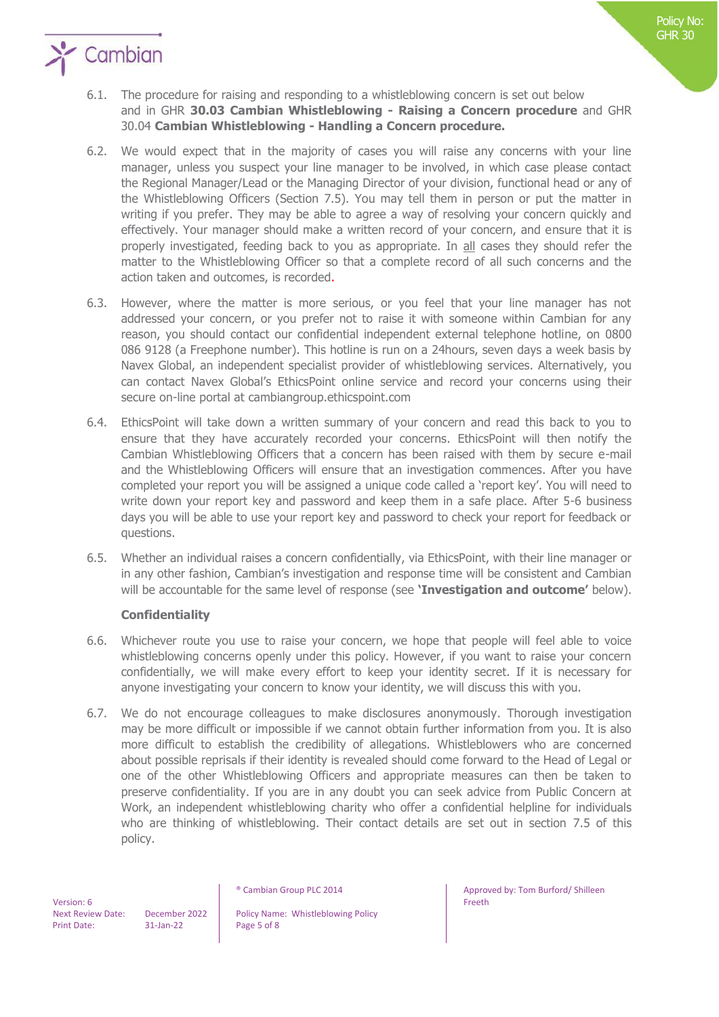

# $\sum$  Cambian

- 6.1. The procedure for raising and responding to a whistleblowing concern is set out below and in GHR **30.03 Cambian Whistleblowing - Raising a Concern procedure** and GHR 30.04 **Cambian Whistleblowing - Handling a Concern procedure.**
- 6.2. We would expect that in the majority of cases you will raise any concerns with your line manager, unless you suspect your line manager to be involved, in which case please contact the Regional Manager/Lead or the Managing Director of your division, functional head or any of the Whistleblowing Officers (Section 7.5). You may tell them in person or put the matter in writing if you prefer. They may be able to agree a way of resolving your concern quickly and effectively. Your manager should make a written record of your concern, and ensure that it is properly investigated, feeding back to you as appropriate. In all cases they should refer the matter to the Whistleblowing Officer so that a complete record of all such concerns and the action taken and outcomes, is recorded.
- 6.3. However, where the matter is more serious, or you feel that your line manager has not addressed your concern, or you prefer not to raise it with someone within Cambian for any reason, you should contact our confidential independent external telephone hotline, on 0800 086 9128 (a Freephone number). This hotline is run on a 24hours, seven days a week basis by Navex Global, an independent specialist provider of whistleblowing services. Alternatively, you can contact Navex Global's EthicsPoint online service and record your concerns using their secure on-line portal at cambiangroup.ethicspoint.com
- 6.4. EthicsPoint will take down a written summary of your concern and read this back to you to ensure that they have accurately recorded your concerns. EthicsPoint will then notify the Cambian Whistleblowing Officers that a concern has been raised with them by secure e-mail and the Whistleblowing Officers will ensure that an investigation commences. After you have completed your report you will be assigned a unique code called a 'report key'. You will need to write down your report key and password and keep them in a safe place. After 5-6 business days you will be able to use your report key and password to check your report for feedback or questions.
- 6.5. Whether an individual raises a concern confidentially, via EthicsPoint, with their line manager or in any other fashion, Cambian's investigation and response time will be consistent and Cambian will be accountable for the same level of response (see **'Investigation and outcome'** below).

## **Confidentiality**

- 6.6. Whichever route you use to raise your concern, we hope that people will feel able to voice whistleblowing concerns openly under this policy. However, if you want to raise your concern confidentially, we will make every effort to keep your identity secret. If it is necessary for anyone investigating your concern to know your identity, we will discuss this with you.
- 6.7. We do not encourage colleagues to make disclosures anonymously. Thorough investigation may be more difficult or impossible if we cannot obtain further information from you. It is also more difficult to establish the credibility of allegations. Whistleblowers who are concerned about possible reprisals if their identity is revealed should come forward to the Head of Legal or one of the other Whistleblowing Officers and appropriate measures can then be taken to preserve confidentiality. If you are in any doubt you can seek advice from Public Concern at Work, an independent whistleblowing charity who offer a confidential helpline for individuals who are thinking of whistleblowing. Their contact details are set out in section 7.5 of this policy.

 Version: 6 Print Date: 31-Jan-22 Page 5 of 8

Next Review Date: December 2022 | Policy Name: Whistleblowing Policy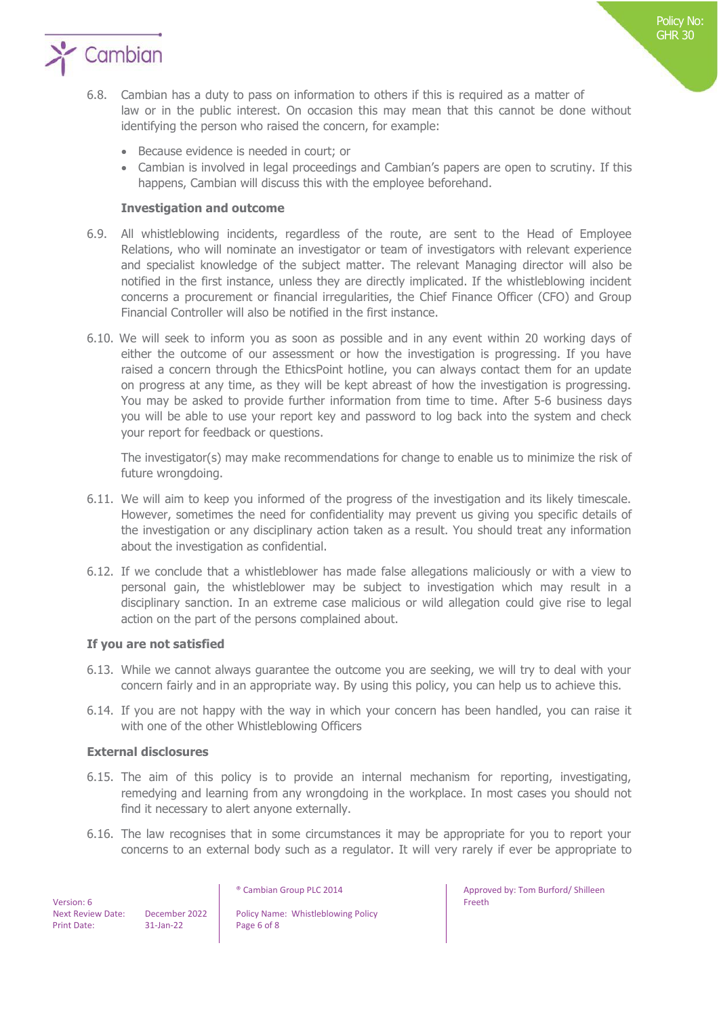

- 6.8. Cambian has a duty to pass on information to others if this is required as a matter of law or in the public interest. On occasion this may mean that this cannot be done without identifying the person who raised the concern, for example:
	- Because evidence is needed in court; or
	- Cambian is involved in legal proceedings and Cambian's papers are open to scrutiny. If this happens, Cambian will discuss this with the employee beforehand.

### **Investigation and outcome**

- 6.9. All whistleblowing incidents, regardless of the route, are sent to the Head of Employee Relations, who will nominate an investigator or team of investigators with relevant experience and specialist knowledge of the subject matter. The relevant Managing director will also be notified in the first instance, unless they are directly implicated. If the whistleblowing incident concerns a procurement or financial irregularities, the Chief Finance Officer (CFO) and Group Financial Controller will also be notified in the first instance.
- 6.10. We will seek to inform you as soon as possible and in any event within 20 working days of either the outcome of our assessment or how the investigation is progressing. If you have raised a concern through the EthicsPoint hotline, you can always contact them for an update on progress at any time, as they will be kept abreast of how the investigation is progressing. You may be asked to provide further information from time to time. After 5-6 business days you will be able to use your report key and password to log back into the system and check your report for feedback or questions.

The investigator(s) may make recommendations for change to enable us to minimize the risk of future wrongdoing.

- 6.11. We will aim to keep you informed of the progress of the investigation and its likely timescale. However, sometimes the need for confidentiality may prevent us giving you specific details of the investigation or any disciplinary action taken as a result. You should treat any information about the investigation as confidential.
- 6.12. If we conclude that a whistleblower has made false allegations maliciously or with a view to personal gain, the whistleblower may be subject to investigation which may result in a disciplinary sanction. In an extreme case malicious or wild allegation could give rise to legal action on the part of the persons complained about.

### **If you are not satisfied**

- 6.13. While we cannot always guarantee the outcome you are seeking, we will try to deal with your concern fairly and in an appropriate way. By using this policy, you can help us to achieve this.
- 6.14. If you are not happy with the way in which your concern has been handled, you can raise it with one of the other Whistleblowing Officers

### **External disclosures**

- 6.15. The aim of this policy is to provide an internal mechanism for reporting, investigating, remedying and learning from any wrongdoing in the workplace. In most cases you should not find it necessary to alert anyone externally.
- 6.16. The law recognises that in some circumstances it may be appropriate for you to report your concerns to an external body such as a regulator. It will very rarely if ever be appropriate to

 Version: 6 Print Date: 31-Jan-22 Page 6 of 8

Next Review Date: December 2022 | Policy Name: Whistleblowing Policy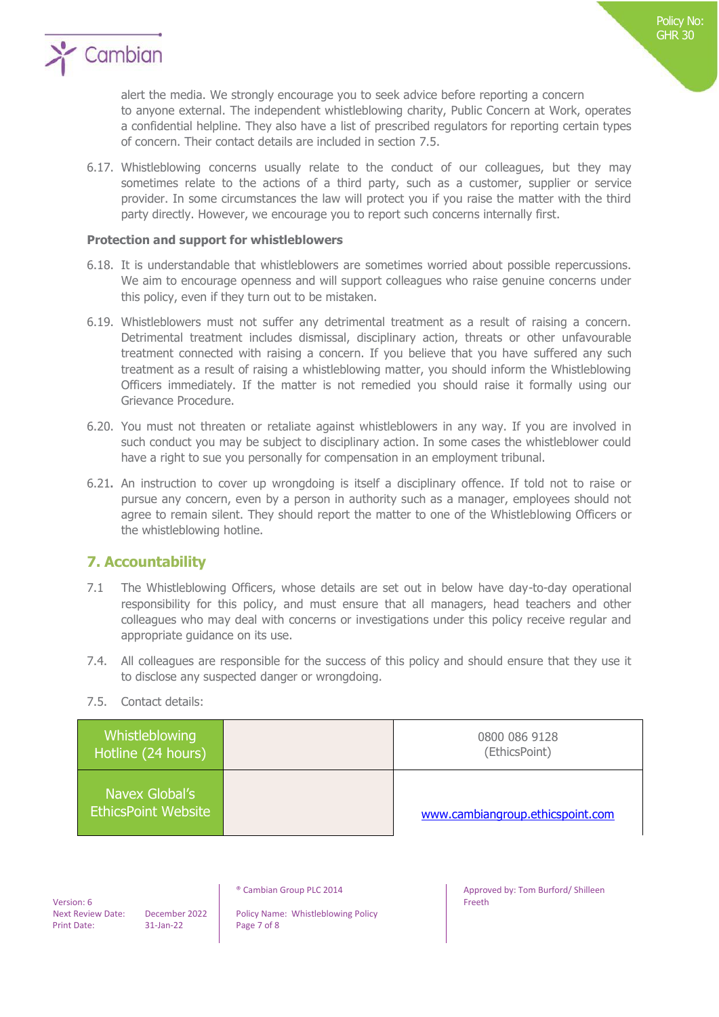

alert the media. We strongly encourage you to seek advice before reporting a concern to anyone external. The independent whistleblowing charity, Public Concern at Work, operates a confidential helpline. They also have a list of prescribed regulators for reporting certain types of concern. Their contact details are included in section 7.5.

6.17. Whistleblowing concerns usually relate to the conduct of our colleagues, but they may sometimes relate to the actions of a third party, such as a customer, supplier or service provider. In some circumstances the law will protect you if you raise the matter with the third party directly. However, we encourage you to report such concerns internally first.

### **Protection and support for whistleblowers**

- 6.18. It is understandable that whistleblowers are sometimes worried about possible repercussions. We aim to encourage openness and will support colleagues who raise genuine concerns under this policy, even if they turn out to be mistaken.
- 6.19. Whistleblowers must not suffer any detrimental treatment as a result of raising a concern. Detrimental treatment includes dismissal, disciplinary action, threats or other unfavourable treatment connected with raising a concern. If you believe that you have suffered any such treatment as a result of raising a whistleblowing matter, you should inform the Whistleblowing Officers immediately. If the matter is not remedied you should raise it formally using our Grievance Procedure.
- 6.20. You must not threaten or retaliate against whistleblowers in any way. If you are involved in such conduct you may be subject to disciplinary action. In some cases the whistleblower could have a right to sue you personally for compensation in an employment tribunal.
- 6.21**.** An instruction to cover up wrongdoing is itself a disciplinary offence. If told not to raise or pursue any concern, even by a person in authority such as a manager, employees should not agree to remain silent. They should report the matter to one of the Whistleblowing Officers or the whistleblowing hotline.

## **7. Accountability**

- 7.1 The Whistleblowing Officers, whose details are set out in below have day-to-day operational responsibility for this policy, and must ensure that all managers, head teachers and other colleagues who may deal with concerns or investigations under this policy receive regular and appropriate guidance on its use.
- 7.4. All colleagues are responsible for the success of this policy and should ensure that they use it to disclose any suspected danger or wrongdoing.
- 7.5. Contact details:

| Whistleblowing<br>Hotline (24 hours)         | 0800 086 9128<br>(EthicsPoint)   |
|----------------------------------------------|----------------------------------|
| Navex Global's<br><b>EthicsPoint Website</b> | www.cambiangroup.ethicspoint.com |

 Version: 6 Print Date: 31-Jan-22 Page 7 of 8

Next Review Date: December 2022 Policy Name: Whistleblowing Policy<br>
Print Date: 31-Jan-22 Page 7 of 8